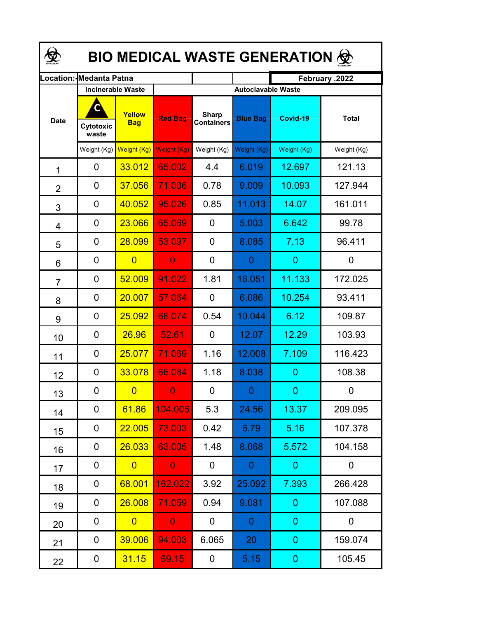| <b>BIO MEDICAL WASTE GENERATION ©</b> |                         |                          |                |                                   |                 |                  |              |  |  |  |
|---------------------------------------|-------------------------|--------------------------|----------------|-----------------------------------|-----------------|------------------|--------------|--|--|--|
|                                       | Location: Medanta Patna |                          |                |                                   |                 | February .2022   |              |  |  |  |
|                                       |                         | <b>Incinerable Waste</b> |                | <b>Autoclavable Waste</b>         |                 |                  |              |  |  |  |
| <b>Date</b>                           | Cytotoxic<br>waste      | Yellow<br><b>Bag</b>     | <b>Red Bag</b> | <b>Sharp</b><br><b>Containers</b> | <b>Blue Bag</b> | Covid-19         | <b>Total</b> |  |  |  |
|                                       | Weight $(Kg)$           | Weight (Kg)              | Weight (Kg)    | Weight (Kg)                       | Weight (Kg)     | Weight (Kg)      | Weight (Kg)  |  |  |  |
| 1                                     | 0                       | 33.012                   | 65.002         | 4.4                               | 6.019           | 12.697           | 121.13       |  |  |  |
| $\overline{2}$                        | 0                       | 37.056                   | 71.006         | 0.78                              | 9.009           | 10.093           | 127.944      |  |  |  |
| 3                                     | $\mathbf 0$             | 40.052                   | 95.026         | 0.85                              | 11.013          | 14.07            | 161.011      |  |  |  |
| 4                                     | $\mathbf 0$             | 23.066                   | 65.069         | 0                                 | 5.003           | 6.642            | 99.78        |  |  |  |
| 5                                     | 0                       | 28.099                   | 53.097         | 0                                 | 8.085           | 7.13             | 96.411       |  |  |  |
| 6                                     | 0                       | $\overline{0}$           | $\overline{0}$ | 0                                 | 0               | $\mathbf 0$      | 0            |  |  |  |
| $\overline{7}$                        | 0                       | 52.009                   | 91.022         | 1.81                              | 16.051          | 11.133           | 172.025      |  |  |  |
| 8                                     | 0                       | 20.007                   | 57.064         | 0                                 | 6.086           | 10.254           | 93.411       |  |  |  |
| 9                                     | 0                       | 25.092                   | 68.074         | 0.54                              | 10.044          | 6.12             | 109.87       |  |  |  |
| 10                                    | 0                       | 26.96                    | 52.61          | 0                                 | 12.07           | 12.29            | 103.93       |  |  |  |
| 11                                    | 0                       | 25.077                   | 71.069         | 1.16                              | 12.008          | 7.109            | 116.423      |  |  |  |
| 12                                    | 0                       | 33.078                   | 66.084         | 1.18                              | 8.038           | $\overline{0}$   | 108.38       |  |  |  |
| 13                                    | 0                       | $\mathbf{0}$             | $\bullet$ 0    | $\mathbf 0$                       | $\overline{0}$  | $\overline{0}$   | 0            |  |  |  |
| 14                                    | 0                       | 61.86                    | 104.005        | 5.3                               | 24.56           | 13.37            | 209.095      |  |  |  |
| 15                                    | 0                       | 22.005                   | 73.003         | 0.42                              | 6.79            | 5.16             | 107.378      |  |  |  |
| 16                                    | 0                       | 26.033                   | 63.005         | 1.48                              | 8.068           | 5.572            | 104.158      |  |  |  |
| 17                                    | $\boldsymbol{0}$        | $\overline{0}$           | $\mathbf{0}$   | 0                                 | $\overline{0}$  | $\mathbf{0}$     | 0            |  |  |  |
| 18                                    | 0                       | 68.001                   | 162.022        | 3.92                              | 25.092          | 7.393            | 266.428      |  |  |  |
| 19                                    | 0                       | 26.008                   | 71.059         | 0.94                              | 9.081           | 0                | 107.088      |  |  |  |
| 20                                    | $\boldsymbol{0}$        | $\overline{0}$           | $\mathbf{0}$   | 0                                 | $\overline{0}$  | $\boldsymbol{0}$ | 0            |  |  |  |
| 21                                    | 0                       | 39.006                   | 94.003         | 6.065                             | 20              | 0                | 159.074      |  |  |  |
| 22                                    | 0                       | 31.15                    | 69.15          | 0                                 | 5.15            | $\boldsymbol{0}$ | 105.45       |  |  |  |